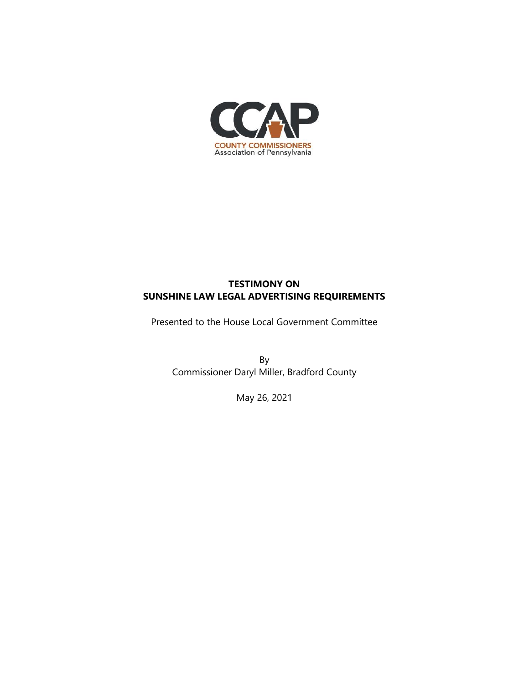

## **TESTIMONY ON SUNSHINE LAW LEGAL ADVERTISING REQUIREMENTS**

Presented to the House Local Government Committee

By Commissioner Daryl Miller, Bradford County

May 26, 2021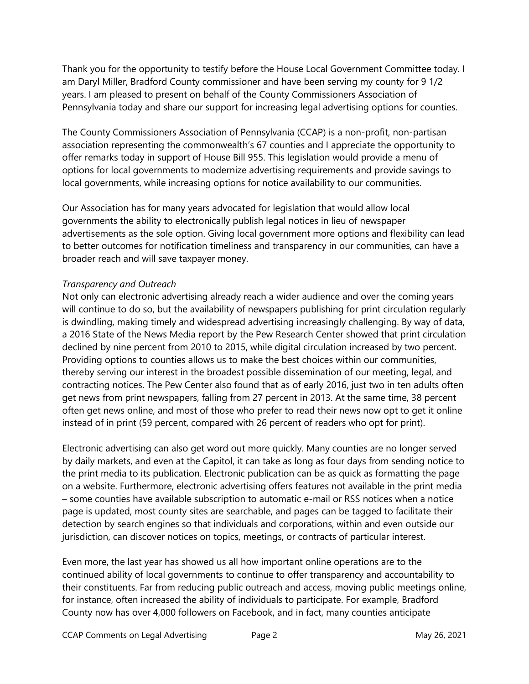Thank you for the opportunity to testify before the House Local Government Committee today. I am Daryl Miller, Bradford County commissioner and have been serving my county for 9 1/2 years. I am pleased to present on behalf of the County Commissioners Association of Pennsylvania today and share our support for increasing legal advertising options for counties.

The County Commissioners Association of Pennsylvania (CCAP) is a non-profit, non-partisan association representing the commonwealth's 67 counties and I appreciate the opportunity to offer remarks today in support of House Bill 955. This legislation would provide a menu of options for local governments to modernize advertising requirements and provide savings to local governments, while increasing options for notice availability to our communities.

Our Association has for many years advocated for legislation that would allow local governments the ability to electronically publish legal notices in lieu of newspaper advertisements as the sole option. Giving local government more options and flexibility can lead to better outcomes for notification timeliness and transparency in our communities, can have a broader reach and will save taxpayer money.

## *Transparency and Outreach*

Not only can electronic advertising already reach a wider audience and over the coming years will continue to do so, but the availability of newspapers publishing for print circulation regularly is dwindling, making timely and widespread advertising increasingly challenging. By way of data, a 2016 State of the News Media report by the Pew Research Center showed that print circulation declined by nine percent from 2010 to 2015, while digital circulation increased by two percent. Providing options to counties allows us to make the best choices within our communities, thereby serving our interest in the broadest possible dissemination of our meeting, legal, and contracting notices. The Pew Center also found that as of early 2016, just two in ten adults often get news from print newspapers, falling from 27 percent in 2013. At the same time, 38 percent often get news online, and most of those who prefer to read their news now opt to get it online instead of in print (59 percent, compared with 26 percent of readers who opt for print).

Electronic advertising can also get word out more quickly. Many counties are no longer served by daily markets, and even at the Capitol, it can take as long as four days from sending notice to the print media to its publication. Electronic publication can be as quick as formatting the page on a website. Furthermore, electronic advertising offers features not available in the print media – some counties have available subscription to automatic e-mail or RSS notices when a notice page is updated, most county sites are searchable, and pages can be tagged to facilitate their detection by search engines so that individuals and corporations, within and even outside our jurisdiction, can discover notices on topics, meetings, or contracts of particular interest.

Even more, the last year has showed us all how important online operations are to the continued ability of local governments to continue to offer transparency and accountability to their constituents. Far from reducing public outreach and access, moving public meetings online, for instance, often increased the ability of individuals to participate. For example, Bradford County now has over 4,000 followers on Facebook, and in fact, many counties anticipate